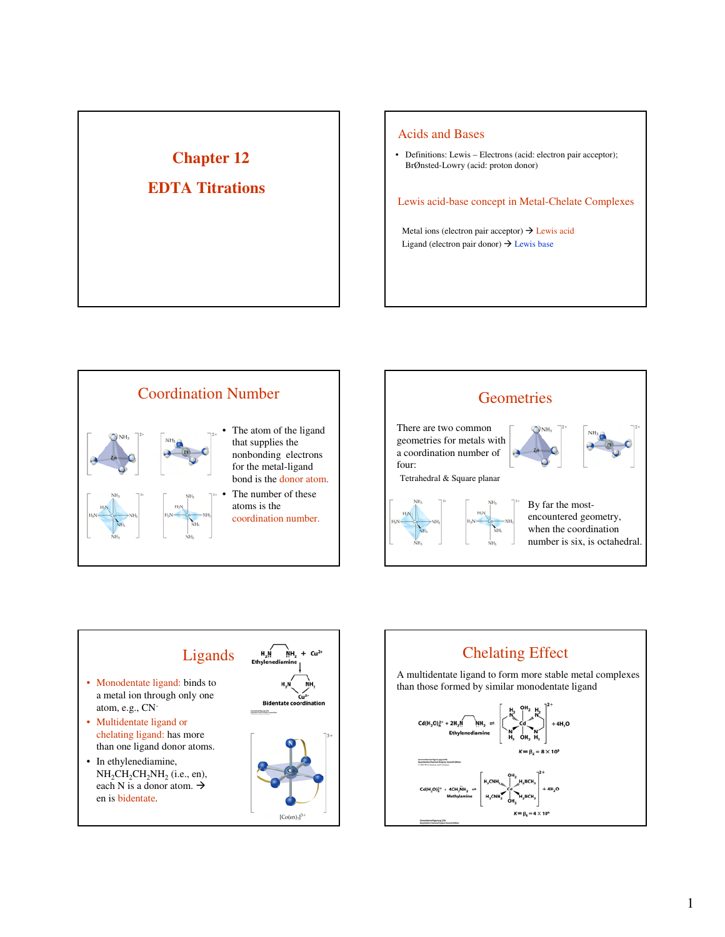# **Chapter 12**

## **EDTA Titrations**

#### Acids and Bases

• Definitions: Lewis – Electrons (acid: electron pair acceptor); BrØnsted-Lowry (acid: proton donor)

Lewis acid-base concept in Metal-Chelate Complexes

Metal ions (electron pair acceptor)  $\rightarrow$  Lewis acid Ligand (electron pair donor)  $\rightarrow$  Lewis base







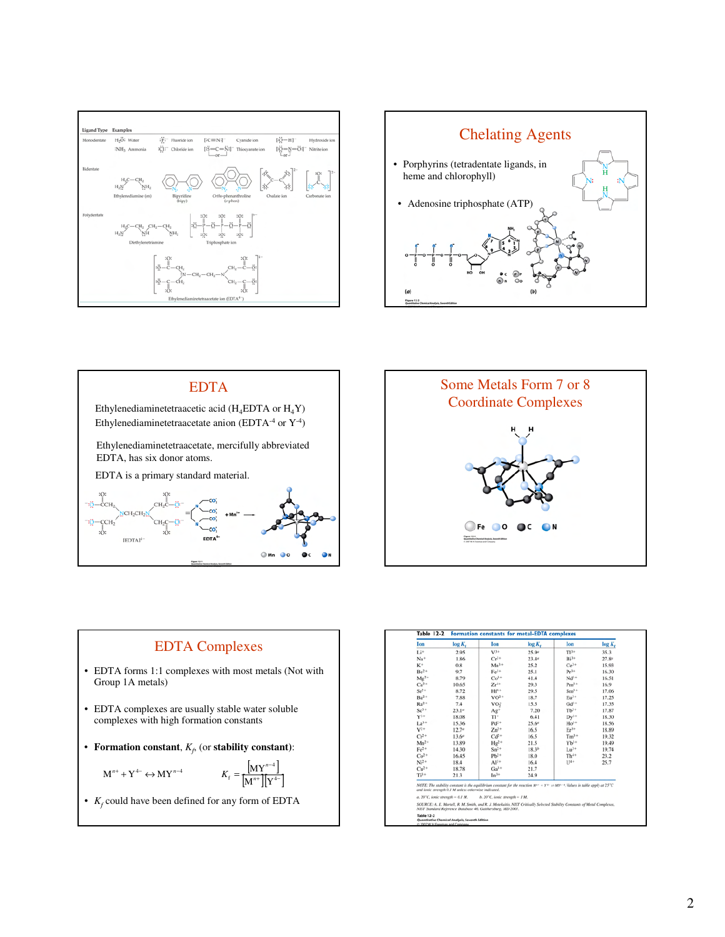







### EDTA Complexes

• EDTA forms 1:1 complexes with most metals (Not with Group 1A metals)

*n*

- EDTA complexes are usually stable water soluble complexes with high formation constants
- **Formation constant**,  $K_f$ , (or **stability constant**):

$$
M^{n+} + Y^{4-} \leftrightarrow MY^{n-4} \qquad K_f = \frac{[MY^{n-4}]}{[M^{n+}][Y^{4-}]}
$$

• *K<sup>f</sup>* could have been defined for any form of EDTA

| Ion                                                  | log K <sub>e</sub> | Ion                                                         | log K <sub>r</sub>                                                                                                                              | Ion        | $log K_t$ |
|------------------------------------------------------|--------------------|-------------------------------------------------------------|-------------------------------------------------------------------------------------------------------------------------------------------------|------------|-----------|
| Li <sup>+</sup>                                      | 2.95               | $V^{3+}$                                                    | 25.9 <sup>o</sup>                                                                                                                               | $\Pi^{1+}$ | 35.3      |
| Na+                                                  | 1.86               | $Cr^{3+}$                                                   | 23.4 <sup>a</sup>                                                                                                                               | $Bi3+$     | $27.8^o$  |
| $K^+$                                                | 0.8                | $Mn^{3+}$                                                   | 25.2                                                                                                                                            | $Ce^{3+}$  | 15.93     |
| $Be2+$                                               | 9.7                | $Fe3+$                                                      | 25.1                                                                                                                                            | $Pr^{3+}$  | 16.30     |
| $Mg^{2+}$                                            | 8.79               | $Co3+$                                                      | 41.4                                                                                                                                            | $Nd^{3+}$  | 16.51     |
| $Ca2+$                                               | 10.65              | $Zr^{++}$                                                   | 29.3                                                                                                                                            | $Pm^{3+}$  | 16.9      |
| $Sr^{2+}$                                            | 8.72               | $Hf^{4+}$                                                   | 29.5                                                                                                                                            | $Sm^{3+}$  | 17.06     |
| $Ba2+$                                               | 7.88               | $VO2+$                                                      | 18.7                                                                                                                                            | $Eu3+$     | 17.25     |
| $Ra^{2+}$                                            | 7.4                | VO:                                                         | 15.5                                                                                                                                            | $Gd^{1+}$  | 17.35     |
| $Sc^{3+}$                                            | $23.1^{\circ}$     | Ag <sup>+</sup>                                             | 7.20                                                                                                                                            | $Tb^{1+}$  | 17.87     |
| $V^{1+}$                                             | 18.08              | T1+                                                         | 6.41                                                                                                                                            | $Dv^{3+}$  | 18.30     |
| $La^{3+}$                                            | 15.36              | $Pd^{2+}$                                                   | 25.6°                                                                                                                                           | $Ho^{1+}$  | 18.56     |
| $V^{2+}$                                             | $12.7^e$           | $Zn^{2+}$                                                   | 16.5                                                                                                                                            | $Er3+$     | 18.89     |
| $Cr^{2+}$                                            | 13.6°              | $Cd2+$                                                      | 16.5                                                                                                                                            | $Tm^{3+}$  | 19.32     |
| $Mn^{2+}$                                            | 13.89              | $Hg^{2+}$                                                   | 21.5                                                                                                                                            | $Yb^{1+}$  | 19.49     |
| $Fe2+$                                               | 14.30              | $Sn^{2+}$                                                   | 18.3 <sup>b</sup>                                                                                                                               | $Lu^{3+}$  | 19.74     |
| $Co2+$                                               | 16.45              | $Pb^{2+}$                                                   | 18.0                                                                                                                                            | $Th4+$     | 23.2      |
| $Ni2+$                                               | 18.4               | $Al^{3+}$                                                   | 16.4                                                                                                                                            | $114+$     | 25.7      |
| $Cu2+$                                               | 18.78              | $Ga1+$                                                      | 21.7                                                                                                                                            |            |           |
| $Ti3+$                                               | 21.3               | $In3+$                                                      | 24.9                                                                                                                                            |            |           |
| and ionic strength 0.1 M unless otherwise indicated. |                    |                                                             | NOTE: The stability constant is the equilibrium constant for the reaction $M^{**} + Y^{+-} = M Y^{++}$ . Values in table apply at $25^{\circ}C$ |            |           |
| a. $20^{\circ}$ C, ionic strength = 0.1 M.           |                    | b. $20^{\circ}$ C, ionic strength - 1 M.                    |                                                                                                                                                 |            |           |
|                                                      |                    | NIST Standard Reference Database 46, Gaithersburg, MD 2001. | SOURCE: A. E. Martell, R. M. Smith, and R. J. Motekaitis, NIST Critically Selected Stability Constants of Metal Complexes,                      |            |           |
| <b>Table 12-2</b>                                    |                    |                                                             |                                                                                                                                                 |            |           |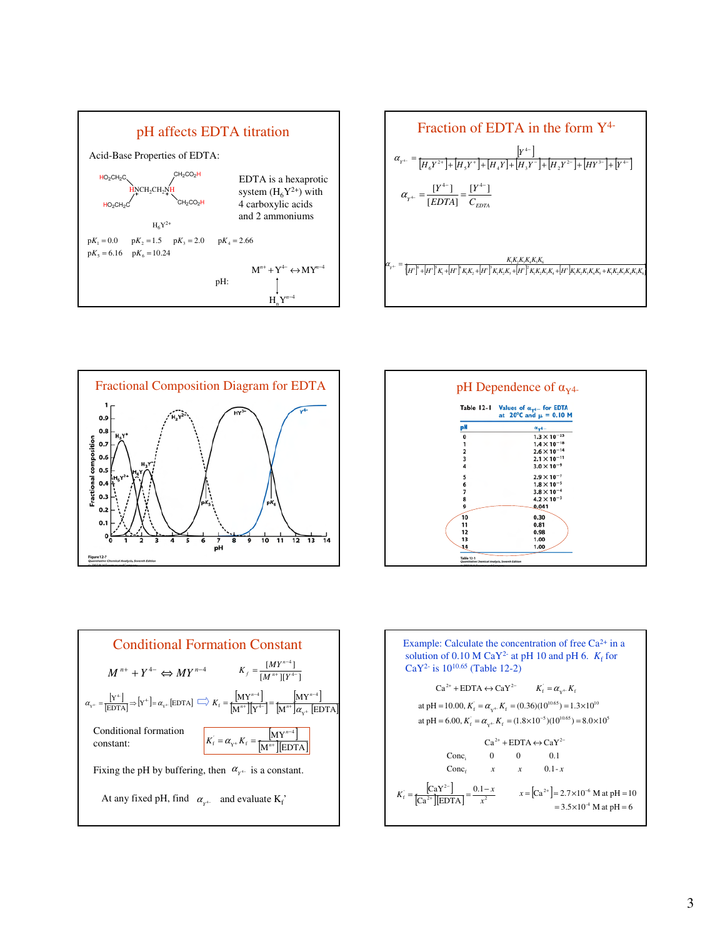









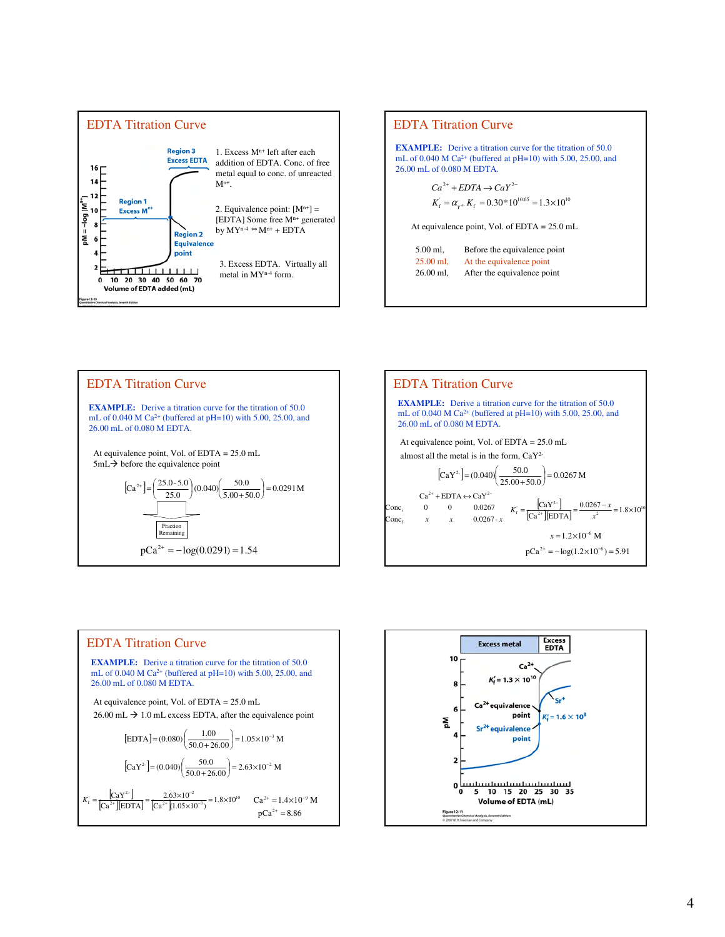

### EDTA Titration Curve

**EXAMPLE:** Derive a titration curve for the titration of 50.0 mL of  $0.040$  M Ca<sup>2+</sup> (buffered at pH=10) with 5.00, 25.00, and 26.00 mL of 0.080 M EDTA.

> $K_{\rm f} = \alpha_{\gamma^{4-}} K_{\rm f} = 0.30*10^{10.65} = 1.3 \times 10^{10}$  $Ca^{2+} + EDTA \rightarrow CaY^{2-}$

At equivalence point, Vol. of EDTA = 25.0 mL

| 5.00 ml.    | Before the equivalence point |
|-------------|------------------------------|
| $25.00$ ml, | At the equivalence point     |
| $26.00$ ml, | After the equivalence point  |